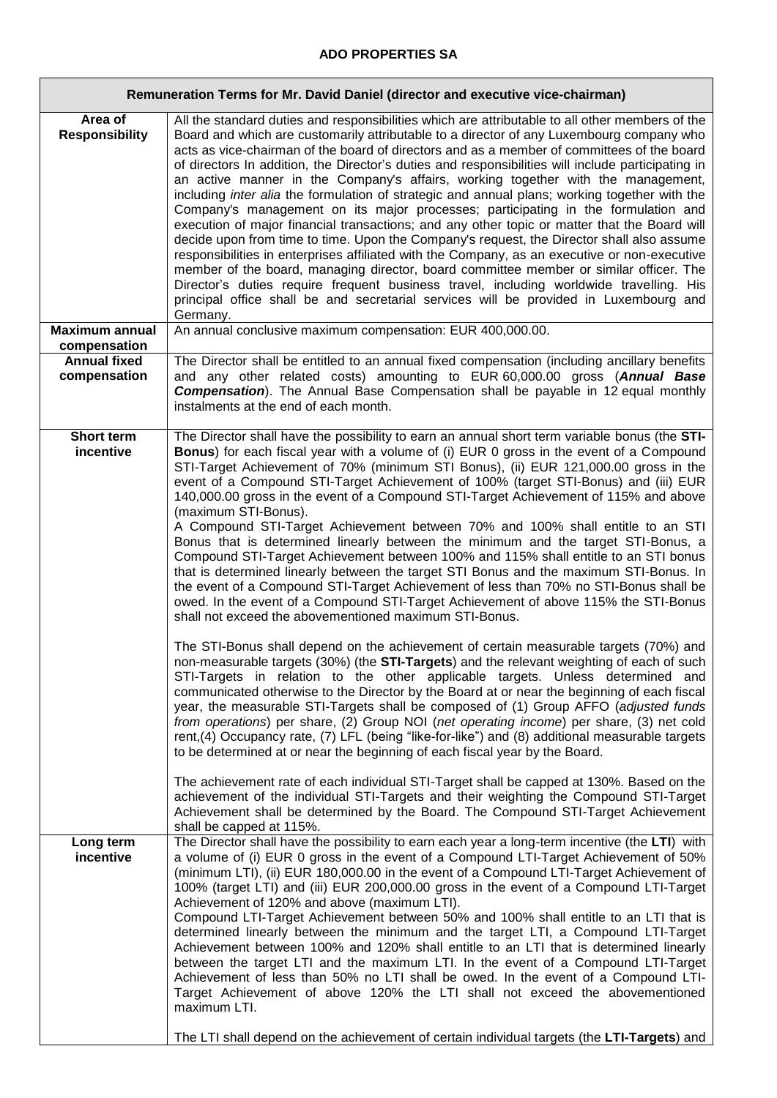## **ADO PROPERTIES SA**

'n

| Remuneration Terms for Mr. David Daniel (director and executive vice-chairman) |                                                                                                                                                                                                                                                                                                                                                                                                                                                                                                                                                                                                                                                                                                                                                                                                                                                                                                                                                                                                                                                                                                                                                                                                                                                                                                                                                                                                                                                                                                                                                                                                                                                                                                                                                                                                                                                                                                                                                                                                                                                                                                                                                    |
|--------------------------------------------------------------------------------|----------------------------------------------------------------------------------------------------------------------------------------------------------------------------------------------------------------------------------------------------------------------------------------------------------------------------------------------------------------------------------------------------------------------------------------------------------------------------------------------------------------------------------------------------------------------------------------------------------------------------------------------------------------------------------------------------------------------------------------------------------------------------------------------------------------------------------------------------------------------------------------------------------------------------------------------------------------------------------------------------------------------------------------------------------------------------------------------------------------------------------------------------------------------------------------------------------------------------------------------------------------------------------------------------------------------------------------------------------------------------------------------------------------------------------------------------------------------------------------------------------------------------------------------------------------------------------------------------------------------------------------------------------------------------------------------------------------------------------------------------------------------------------------------------------------------------------------------------------------------------------------------------------------------------------------------------------------------------------------------------------------------------------------------------------------------------------------------------------------------------------------------------|
| Area of<br><b>Responsibility</b>                                               | All the standard duties and responsibilities which are attributable to all other members of the<br>Board and which are customarily attributable to a director of any Luxembourg company who<br>acts as vice-chairman of the board of directors and as a member of committees of the board<br>of directors In addition, the Director's duties and responsibilities will include participating in<br>an active manner in the Company's affairs, working together with the management,<br>including inter alia the formulation of strategic and annual plans; working together with the<br>Company's management on its major processes; participating in the formulation and<br>execution of major financial transactions; and any other topic or matter that the Board will<br>decide upon from time to time. Upon the Company's request, the Director shall also assume<br>responsibilities in enterprises affiliated with the Company, as an executive or non-executive<br>member of the board, managing director, board committee member or similar officer. The<br>Director's duties require frequent business travel, including worldwide travelling. His<br>principal office shall be and secretarial services will be provided in Luxembourg and<br>Germany.                                                                                                                                                                                                                                                                                                                                                                                                                                                                                                                                                                                                                                                                                                                                                                                                                                                                                  |
| <b>Maximum annual</b><br>compensation                                          | An annual conclusive maximum compensation: EUR 400,000.00.                                                                                                                                                                                                                                                                                                                                                                                                                                                                                                                                                                                                                                                                                                                                                                                                                                                                                                                                                                                                                                                                                                                                                                                                                                                                                                                                                                                                                                                                                                                                                                                                                                                                                                                                                                                                                                                                                                                                                                                                                                                                                         |
| <b>Annual fixed</b><br>compensation                                            | The Director shall be entitled to an annual fixed compensation (including ancillary benefits<br>and any other related costs) amounting to EUR 60,000.00 gross (Annual Base<br><b>Compensation</b> ). The Annual Base Compensation shall be payable in 12 equal monthly<br>instalments at the end of each month.                                                                                                                                                                                                                                                                                                                                                                                                                                                                                                                                                                                                                                                                                                                                                                                                                                                                                                                                                                                                                                                                                                                                                                                                                                                                                                                                                                                                                                                                                                                                                                                                                                                                                                                                                                                                                                    |
| <b>Short term</b><br>incentive                                                 | The Director shall have the possibility to earn an annual short term variable bonus (the STI-<br><b>Bonus</b> ) for each fiscal year with a volume of (i) EUR 0 gross in the event of a Compound<br>STI-Target Achievement of 70% (minimum STI Bonus), (ii) EUR 121,000.00 gross in the<br>event of a Compound STI-Target Achievement of 100% (target STI-Bonus) and (iii) EUR<br>140,000.00 gross in the event of a Compound STI-Target Achievement of 115% and above<br>(maximum STI-Bonus).<br>A Compound STI-Target Achievement between 70% and 100% shall entitle to an STI<br>Bonus that is determined linearly between the minimum and the target STI-Bonus, a<br>Compound STI-Target Achievement between 100% and 115% shall entitle to an STI bonus<br>that is determined linearly between the target STI Bonus and the maximum STI-Bonus. In<br>the event of a Compound STI-Target Achievement of less than 70% no STI-Bonus shall be<br>owed. In the event of a Compound STI-Target Achievement of above 115% the STI-Bonus<br>shall not exceed the abovementioned maximum STI-Bonus.<br>The STI-Bonus shall depend on the achievement of certain measurable targets (70%) and<br>non-measurable targets (30%) (the STI-Targets) and the relevant weighting of each of such<br>STI-Targets in relation to the other applicable targets. Unless determined and<br>communicated otherwise to the Director by the Board at or near the beginning of each fiscal<br>year, the measurable STI-Targets shall be composed of (1) Group AFFO (adjusted funds<br>from operations) per share, (2) Group NOI (net operating income) per share, (3) net cold<br>rent,(4) Occupancy rate, (7) LFL (being "like-for-like") and (8) additional measurable targets<br>to be determined at or near the beginning of each fiscal year by the Board.<br>The achievement rate of each individual STI-Target shall be capped at 130%. Based on the<br>achievement of the individual STI-Targets and their weighting the Compound STI-Target<br>Achievement shall be determined by the Board. The Compound STI-Target Achievement<br>shall be capped at 115%. |
| Long term<br>incentive                                                         | The Director shall have the possibility to earn each year a long-term incentive (the LTI) with<br>a volume of (i) EUR 0 gross in the event of a Compound LTI-Target Achievement of 50%<br>(minimum LTI), (ii) EUR 180,000.00 in the event of a Compound LTI-Target Achievement of<br>100% (target LTI) and (iii) EUR 200,000.00 gross in the event of a Compound LTI-Target<br>Achievement of 120% and above (maximum LTI).<br>Compound LTI-Target Achievement between 50% and 100% shall entitle to an LTI that is<br>determined linearly between the minimum and the target LTI, a Compound LTI-Target<br>Achievement between 100% and 120% shall entitle to an LTI that is determined linearly<br>between the target LTI and the maximum LTI. In the event of a Compound LTI-Target<br>Achievement of less than 50% no LTI shall be owed. In the event of a Compound LTI-<br>Target Achievement of above 120% the LTI shall not exceed the abovementioned<br>maximum LTI.<br>The LTI shall depend on the achievement of certain individual targets (the LTI-Targets) and                                                                                                                                                                                                                                                                                                                                                                                                                                                                                                                                                                                                                                                                                                                                                                                                                                                                                                                                                                                                                                                                        |